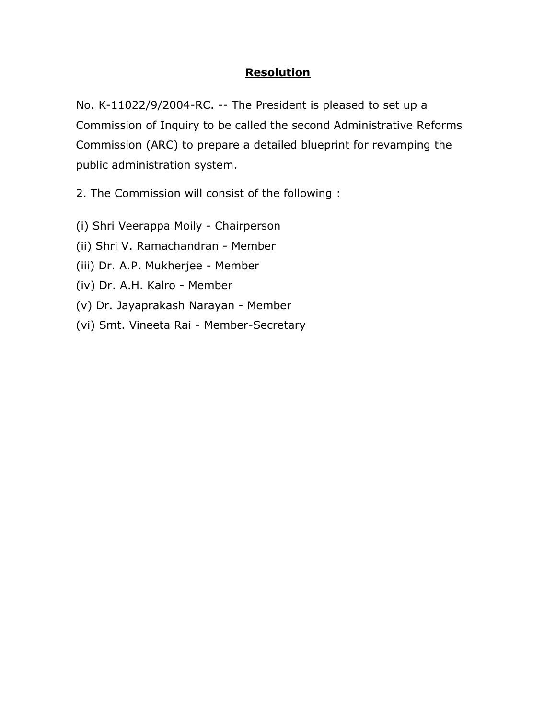### **Resolution**

No. K-11022/9/2004-RC. -- The President is pleased to set up a Commission of Inquiry to be called the second Administrative Reforms Commission (ARC) to prepare a detailed blueprint for revamping the public administration system.

2. The Commission will consist of the following :

(i) Shri Veerappa Moily - Chairperson

(ii) Shri V. Ramachandran - Member

(iii) Dr. A.P. Mukherjee - Member

(iv) Dr. A.H. Kalro - Member

(v) Dr. Jayaprakash Narayan - Member

(vi) Smt. Vineeta Rai - Member-Secretary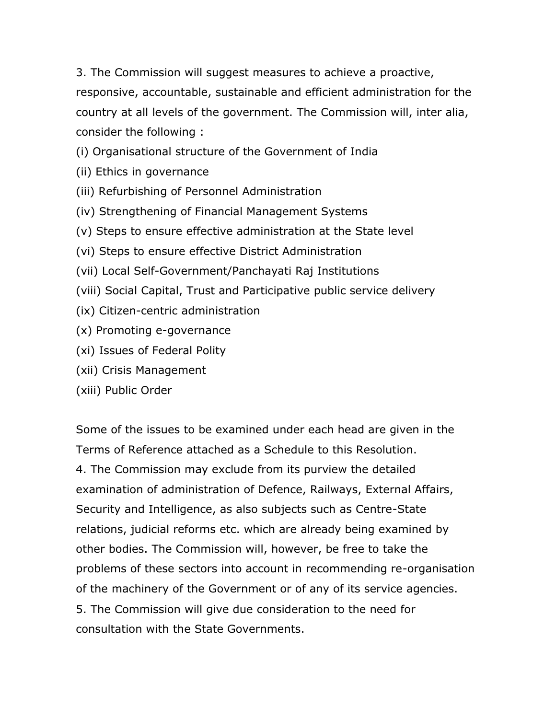3. The Commission will suggest measures to achieve a proactive, responsive, accountable, sustainable and efficient administration for the country at all levels of the government. The Commission will, inter alia, consider the following :

(i) Organisational structure of the Government of India

- (ii) Ethics in governance
- (iii) Refurbishing of Personnel Administration
- (iv) Strengthening of Financial Management Systems
- (v) Steps to ensure effective administration at the State level
- (vi) Steps to ensure effective District Administration
- (vii) Local Self-Government/Panchayati Raj Institutions
- (viii) Social Capital, Trust and Participative public service delivery
- (ix) Citizen-centric administration
- (x) Promoting e-governance
- (xi) Issues of Federal Polity
- (xii) Crisis Management
- (xiii) Public Order

Some of the issues to be examined under each head are given in the Terms of Reference attached as a Schedule to this Resolution. 4. The Commission may exclude from its purview the detailed examination of administration of Defence, Railways, External Affairs, Security and Intelligence, as also subjects such as Centre-State relations, judicial reforms etc. which are already being examined by other bodies. The Commission will, however, be free to take the problems of these sectors into account in recommending re-organisation of the machinery of the Government or of any of its service agencies. 5. The Commission will give due consideration to the need for consultation with the State Governments.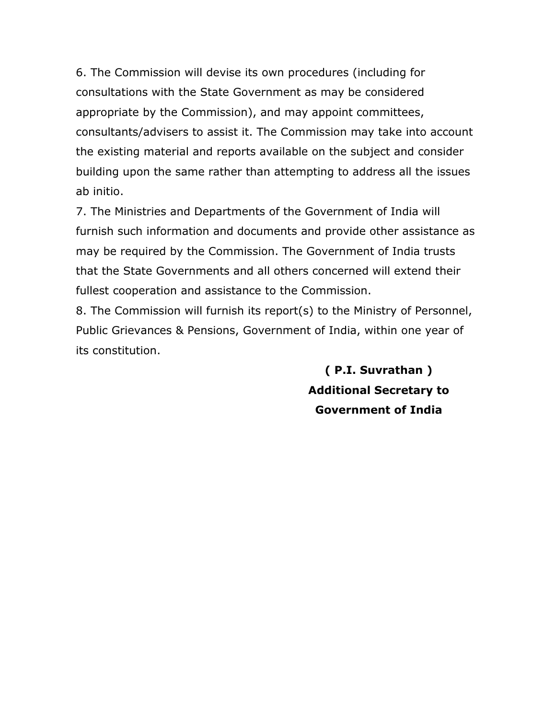6. The Commission will devise its own procedures (including for consultations with the State Government as may be considered appropriate by the Commission), and may appoint committees, consultants/advisers to assist it. The Commission may take into account the existing material and reports available on the subject and consider building upon the same rather than attempting to address all the issues ab initio.

7. The Ministries and Departments of the Government of India will furnish such information and documents and provide other assistance as may be required by the Commission. The Government of India trusts that the State Governments and all others concerned will extend their fullest cooperation and assistance to the Commission.

8. The Commission will furnish its report(s) to the Ministry of Personnel, Public Grievances & Pensions, Government of India, within one year of its constitution.

> **( P.I. Suvrathan ) Additional Secretary to Government of India**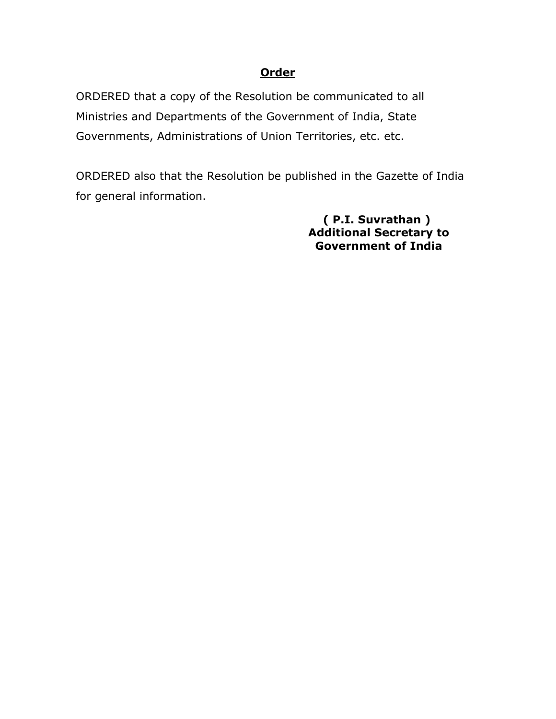### **Order**

ORDERED that a copy of the Resolution be communicated to all Ministries and Departments of the Government of India, State Governments, Administrations of Union Territories, etc. etc.

ORDERED also that the Resolution be published in the Gazette of India for general information.

> **( P.I. Suvrathan ) Additional Secretary to Government of India**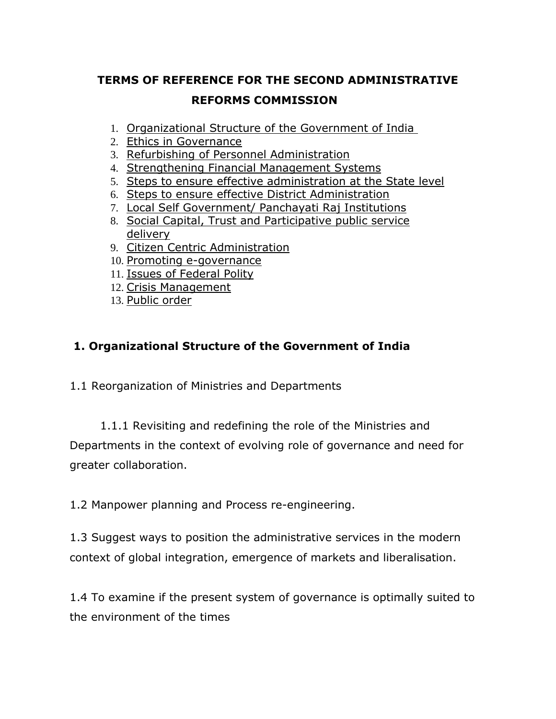# **TERMS OF REFERENCE FOR THE SECOND ADMINISTRATIVE REFORMS COMMISSION**

- 1. Organizational Structure of the Government of India
- 2. Ethics in Governance
- 3. Refurbishing of Personnel Administration
- 4. Strengthening Financial Management Systems
- 5. Steps to ensure effective administration at the State level
- 6. Steps to ensure effective District Administration
- 7. Local Self Government/ Panchayati Raj Institutions
- 8. Social Capital, Trust and Participative public service delivery
- 9. Citizen Centric Administration
- 10. Promoting e-governance
- 11. Issues of Federal Polity
- 12. Crisis Management
- 13. Public order

## **1. Organizational Structure of the Government of India**

1.1 Reorganization of Ministries and Departments

 1.1.1 Revisiting and redefining the role of the Ministries and Departments in the context of evolving role of governance and need for greater collaboration.

1.2 Manpower planning and Process re-engineering.

1.3 Suggest ways to position the administrative services in the modern context of global integration, emergence of markets and liberalisation.

1.4 To examine if the present system of governance is optimally suited to the environment of the times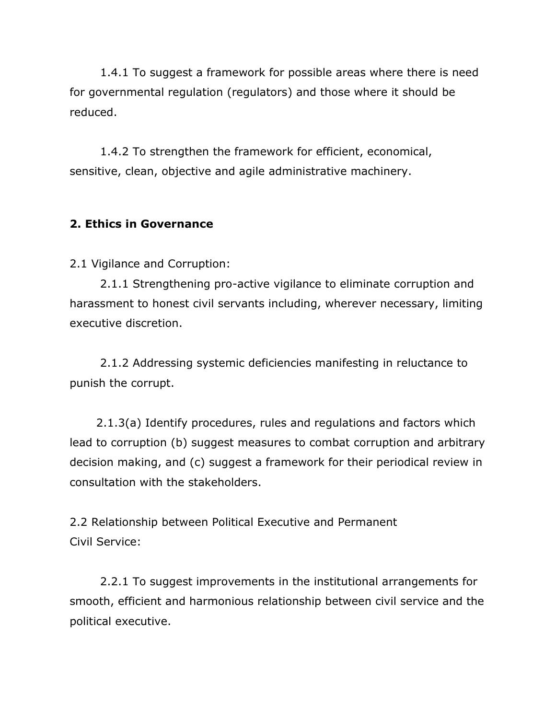1.4.1 To suggest a framework for possible areas where there is need for governmental regulation (regulators) and those where it should be reduced.

 1.4.2 To strengthen the framework for efficient, economical, sensitive, clean, objective and agile administrative machinery.

### **2. Ethics in Governance**

2.1 Vigilance and Corruption:

 2.1.1 Strengthening pro-active vigilance to eliminate corruption and harassment to honest civil servants including, wherever necessary, limiting executive discretion.

 2.1.2 Addressing systemic deficiencies manifesting in reluctance to punish the corrupt.

 2.1.3(a) Identify procedures, rules and regulations and factors which lead to corruption (b) suggest measures to combat corruption and arbitrary decision making, and (c) suggest a framework for their periodical review in consultation with the stakeholders.

2.2 Relationship between Political Executive and Permanent Civil Service:

 2.2.1 To suggest improvements in the institutional arrangements for smooth, efficient and harmonious relationship between civil service and the political executive.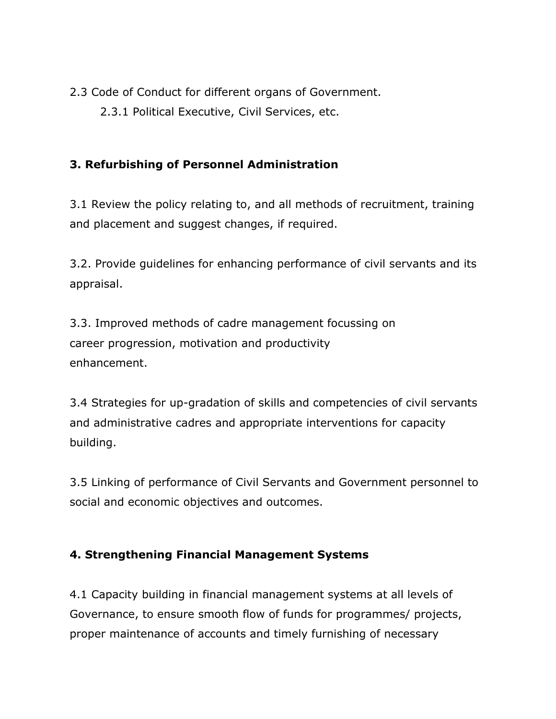2.3 Code of Conduct for different organs of Government.

2.3.1 Political Executive, Civil Services, etc.

## **3. Refurbishing of Personnel Administration**

3.1 Review the policy relating to, and all methods of recruitment, training and placement and suggest changes, if required.

3.2. Provide guidelines for enhancing performance of civil servants and its appraisal.

3.3. Improved methods of cadre management focussing on career progression, motivation and productivity enhancement.

3.4 Strategies for up-gradation of skills and competencies of civil servants and administrative cadres and appropriate interventions for capacity building.

3.5 Linking of performance of Civil Servants and Government personnel to social and economic objectives and outcomes.

## **4. Strengthening Financial Management Systems**

4.1 Capacity building in financial management systems at all levels of Governance, to ensure smooth flow of funds for programmes/ projects, proper maintenance of accounts and timely furnishing of necessary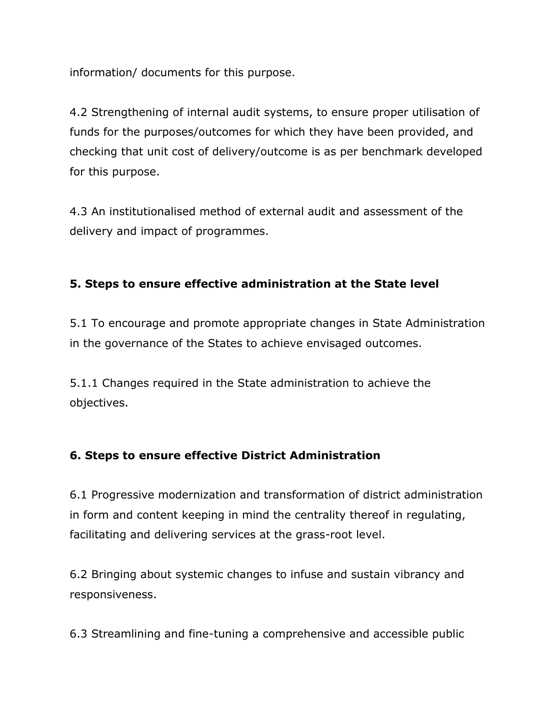information/ documents for this purpose.

4.2 Strengthening of internal audit systems, to ensure proper utilisation of funds for the purposes/outcomes for which they have been provided, and checking that unit cost of delivery/outcome is as per benchmark developed for this purpose.

4.3 An institutionalised method of external audit and assessment of the delivery and impact of programmes.

### **5. Steps to ensure effective administration at the State level**

5.1 To encourage and promote appropriate changes in State Administration in the governance of the States to achieve envisaged outcomes.

5.1.1 Changes required in the State administration to achieve the objectives.

#### **6. Steps to ensure effective District Administration**

6.1 Progressive modernization and transformation of district administration in form and content keeping in mind the centrality thereof in regulating, facilitating and delivering services at the grass-root level.

6.2 Bringing about systemic changes to infuse and sustain vibrancy and responsiveness.

6.3 Streamlining and fine-tuning a comprehensive and accessible public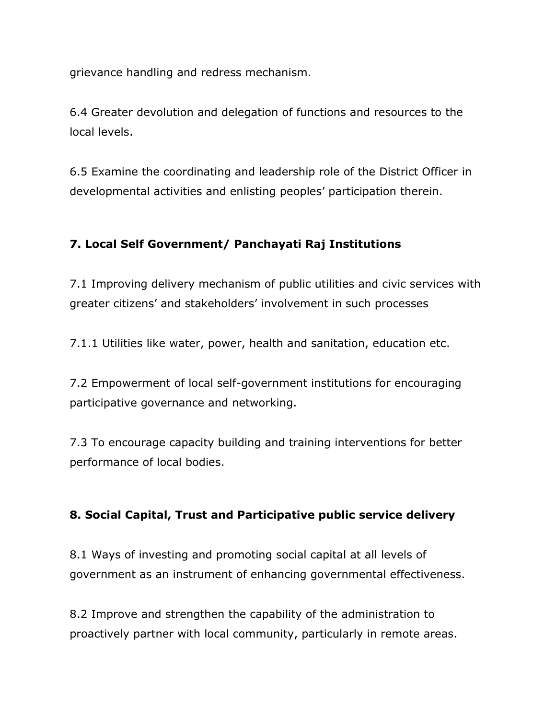grievance handling and redress mechanism.

6.4 Greater devolution and delegation of functions and resources to the local levels.

6.5 Examine the coordinating and leadership role of the District Officer in developmental activities and enlisting peoples' participation therein.

## **7. Local Self Government/ Panchayati Raj Institutions**

7.1 Improving delivery mechanism of public utilities and civic services with greater citizens' and stakeholders' involvement in such processes

7.1.1 Utilities like water, power, health and sanitation, education etc.

7.2 Empowerment of local self-government institutions for encouraging participative governance and networking.

7.3 To encourage capacity building and training interventions for better performance of local bodies.

### **8. Social Capital, Trust and Participative public service delivery**

8.1 Ways of investing and promoting social capital at all levels of government as an instrument of enhancing governmental effectiveness.

8.2 Improve and strengthen the capability of the administration to proactively partner with local community, particularly in remote areas.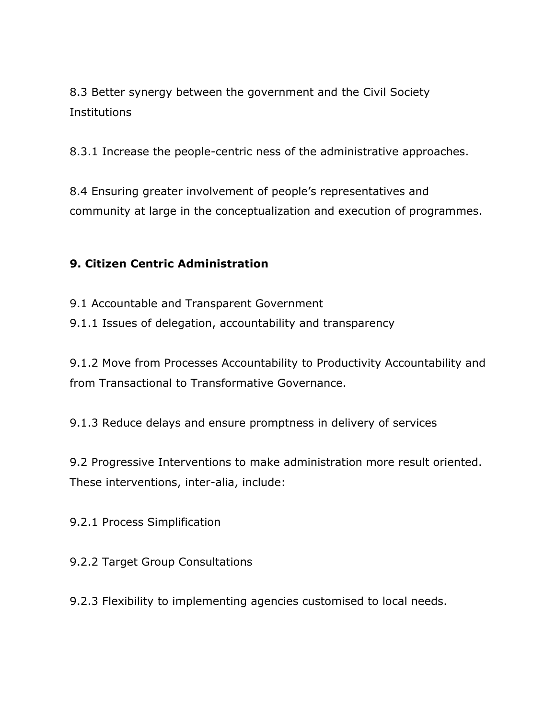8.3 Better synergy between the government and the Civil Society Institutions

8.3.1 Increase the people-centric ness of the administrative approaches.

8.4 Ensuring greater involvement of people's representatives and community at large in the conceptualization and execution of programmes.

## **9. Citizen Centric Administration**

9.1 Accountable and Transparent Government

9.1.1 Issues of delegation, accountability and transparency

9.1.2 Move from Processes Accountability to Productivity Accountability and from Transactional to Transformative Governance.

9.1.3 Reduce delays and ensure promptness in delivery of services

9.2 Progressive Interventions to make administration more result oriented. These interventions, inter-alia, include:

9.2.1 Process Simplification

9.2.2 Target Group Consultations

9.2.3 Flexibility to implementing agencies customised to local needs.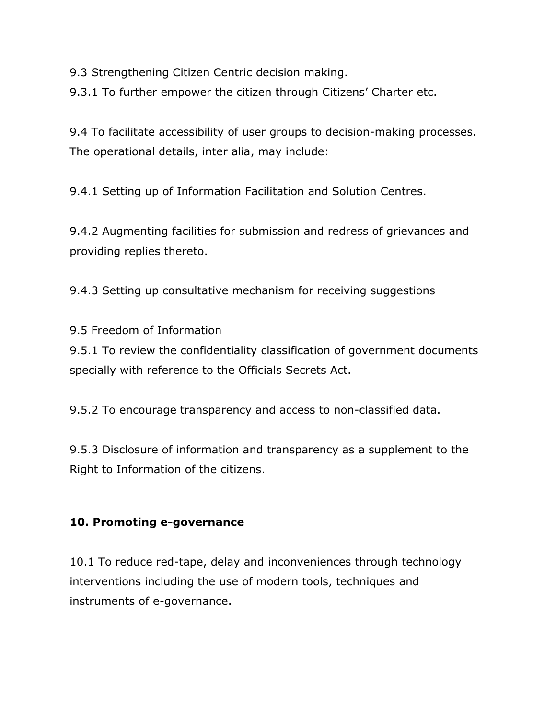9.3 Strengthening Citizen Centric decision making.

9.3.1 To further empower the citizen through Citizens' Charter etc.

9.4 To facilitate accessibility of user groups to decision-making processes. The operational details, inter alia, may include:

9.4.1 Setting up of Information Facilitation and Solution Centres.

9.4.2 Augmenting facilities for submission and redress of grievances and providing replies thereto.

9.4.3 Setting up consultative mechanism for receiving suggestions

9.5 Freedom of Information

9.5.1 To review the confidentiality classification of government documents specially with reference to the Officials Secrets Act.

9.5.2 To encourage transparency and access to non-classified data.

9.5.3 Disclosure of information and transparency as a supplement to the Right to Information of the citizens.

## **10. Promoting e-governance**

10.1 To reduce red-tape, delay and inconveniences through technology interventions including the use of modern tools, techniques and instruments of e-governance.